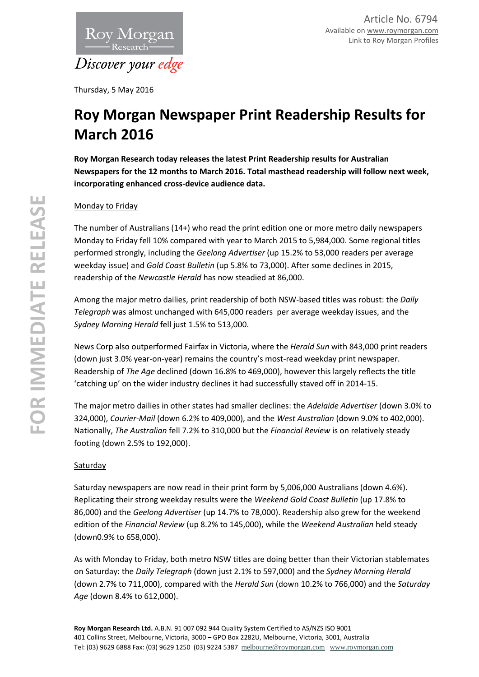

Thursday, 5 May 2016

# **Roy Morgan Newspaper Print Readership Results for March 2016**

**Roy Morgan Research today releases the latest Print Readership results for Australian Newspapers for the 12 months to March 2016. Total masthead readership will follow next week, incorporating enhanced cross-device audience data.**

## Monday to Friday

The number of Australians (14+) who read the print edition one or more metro daily newspapers Monday to Friday fell 10% compared with year to March 2015 to 5,984,000. Some regional titles performed strongly, including the *Geelong Advertiser* (up 15.2% to 53,000 readers per average weekday issue) and *Gold Coast Bulletin* (up 5.8% to 73,000). After some declines in 2015, readership of the *Newcastle Herald* has now steadied at 86,000.

Among the major metro dailies, print readership of both NSW-based titles was robust: the *Daily Telegraph* was almost unchanged with 645,000 readers per average weekday issues, and the *Sydney Morning Herald* fell just 1.5% to 513,000.

News Corp also outperformed Fairfax in Victoria, where the *Herald Sun* with 843,000 print readers (down just 3.0% year-on-year) remains the country's most-read weekday print newspaper. Readership of *The Age* declined (down 16.8% to 469,000), however this largely reflects the title 'catching up' on the wider industry declines it had successfully staved off in 2014-15.

The major metro dailies in other states had smaller declines: the *Adelaide Advertiser* (down 3.0% to 324,000), *Courier-Mail* (down 6.2% to 409,000), and the *West Australian* (down 9.0% to 402,000). Nationally, *The Australian* fell 7.2% to 310,000 but the *Financial Review* is on relatively steady footing (down 2.5% to 192,000).

### **Saturday**

Saturday newspapers are now read in their print form by 5,006,000 Australians (down 4.6%). Replicating their strong weekday results were the *Weekend Gold Coast Bulletin* (up 17.8% to 86,000) and the *Geelong Advertiser* (up 14.7% to 78,000). Readership also grew for the weekend edition of the *Financial Review* (up 8.2% to 145,000), while the *Weekend Australian* held steady (down0.9% to 658,000).

As with Monday to Friday, both metro NSW titles are doing better than their Victorian stablemates on Saturday: the *Daily Telegraph* (down just 2.1% to 597,000) and the *Sydney Morning Herald*  (down 2.7% to 711,000), compared with the *Herald Sun* (down 10.2% to 766,000) and the *Saturday Age* (down 8.4% to 612,000).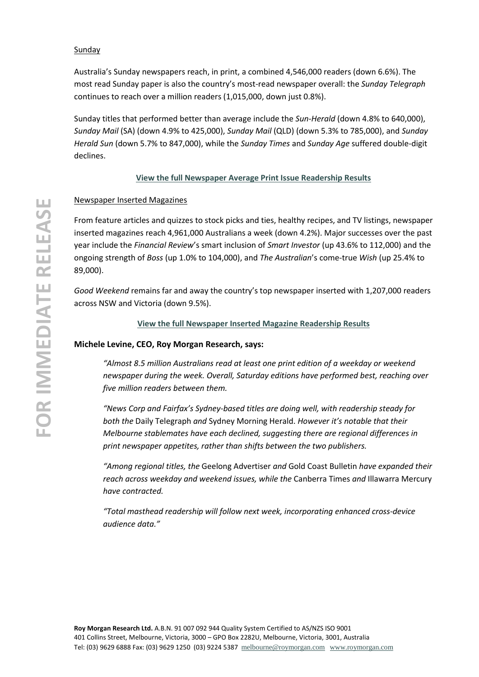#### Sunday

Australia's Sunday newspapers reach, in print, a combined 4,546,000 readers (down 6.6%). The most read Sunday paper is also the country's most-read newspaper overall: the *Sunday Telegraph* continues to reach over a million readers (1,015,000, down just 0.8%).

Sunday titles that performed better than average include the *Sun-Herald* (down 4.8% to 640,000), *Sunday Mail* (SA) (down 4.9% to 425,000), *Sunday Mail* (QLD) (down 5.3% to 785,000), and *Sunday Herald Sun* (down 5.7% to 847,000), while the *Sunday Times* and *Sunday Age* suffered double-digit declines.

#### **[View the full Newspaper Average Print Issue Readership Results](http://roymorgan.com.au/industries/media/readership/newspaper-readership)**

#### Newspaper Inserted Magazines

From feature articles and quizzes to stock picks and ties, healthy recipes, and TV listings, newspaper inserted magazines reach 4,961,000 Australians a week (down 4.2%). Major successes over the past year include the *Financial Review*'s smart inclusion of *Smart Investor* (up 43.6% to 112,000) and the ongoing strength of *Boss* (up 1.0% to 104,000), and *The Australian*'s come-true *Wish* (up 25.4% to 89,000).

*Good Weekend* remains far and away the country's top newspaper inserted with 1,207,000 readers across NSW and Victoria (down 9.5%).

#### **[View the full Newspaper Inserted Magazine Readership Results](http://roymorgan.com.au/industries/media/readership/insert-readership)**

#### **Michele Levine, CEO, Roy Morgan Research, says:**

*"Almost 8.5 million Australians read at least one print edition of a weekday or weekend newspaper during the week. Overall, Saturday editions have performed best, reaching over five million readers between them.* 

*"News Corp and Fairfax's Sydney-based titles are doing well, with readership steady for both the* Daily Telegraph *and* Sydney Morning Herald. *However it's notable that their Melbourne stablemates have each declined, suggesting there are regional differences in print newspaper appetites, rather than shifts between the two publishers.* 

*"Among regional titles, the* Geelong Advertiser *and* Gold Coast Bulletin *have expanded their reach across weekday and weekend issues, while the* Canberra Times *and* Illawarra Mercury *have contracted.*

*"Total masthead readership will follow next week, incorporating enhanced cross-device audience data."*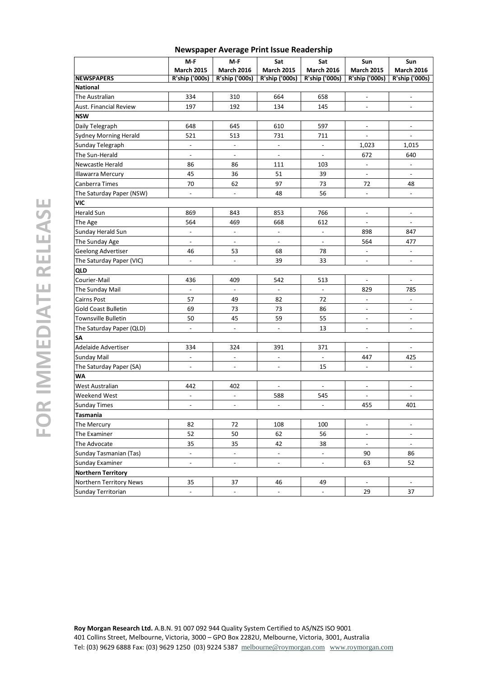|                               |                                     | <b>INCWSPAPEL AVERGET FIRE ISSUE REQUEISING</b> |                          |                              |                              |                          |  |  |  |
|-------------------------------|-------------------------------------|-------------------------------------------------|--------------------------|------------------------------|------------------------------|--------------------------|--|--|--|
|                               | M-F                                 | M-F                                             | Sat                      | Sat                          | Sun                          | Sun                      |  |  |  |
|                               | <b>March 2015</b><br>R'ship ('000s) | <b>March 2016</b>                               | <b>March 2015</b>        | <b>March 2016</b>            | <b>March 2015</b>            | <b>March 2016</b>        |  |  |  |
| <b>NEWSPAPERS</b><br>National |                                     | R'ship ('000s)                                  | <b>R'ship ('000s)</b>    | <b>R'ship ('000s)</b>        | R'ship ('000s)               | <b>R'ship ('000s)</b>    |  |  |  |
| The Australian                | 334                                 | 310                                             | 664                      | 658                          | $\overline{\phantom{a}}$     | $\overline{\phantom{a}}$ |  |  |  |
| Aust. Financial Review        | 197                                 | 192                                             | 134                      | 145                          | $\overline{\phantom{a}}$     | $\overline{\phantom{a}}$ |  |  |  |
| NSW                           |                                     |                                                 |                          |                              |                              |                          |  |  |  |
|                               |                                     |                                                 |                          |                              |                              |                          |  |  |  |
| Daily Telegraph               | 648                                 | 645                                             | 610                      | 597                          | $\overline{\phantom{a}}$     | $\overline{\phantom{a}}$ |  |  |  |
| Sydney Morning Herald         | 521                                 | 513                                             | 731                      | 711                          | $\overline{\phantom{a}}$     | $\overline{\phantom{a}}$ |  |  |  |
| Sunday Telegraph              | $\overline{\phantom{a}}$            | $\overline{\phantom{a}}$                        | $\overline{\phantom{a}}$ | $\Box$                       | 1,023                        | 1,015                    |  |  |  |
| The Sun-Herald                | $\overline{\phantom{a}}$            | $\overline{\phantom{a}}$                        | $\overline{\phantom{a}}$ | $\overline{\phantom{a}}$     | 672                          | 640                      |  |  |  |
| Newcastle Herald              | 86                                  | 86                                              | 111                      | 103                          | $\Box$                       | $\blacksquare$           |  |  |  |
| Illawarra Mercury             | 45                                  | 36                                              | 51                       | 39                           | $\blacksquare$               | $\overline{\phantom{a}}$ |  |  |  |
| Canberra Times                | 70                                  | 62                                              | 97                       | 73                           | 72                           | 48                       |  |  |  |
| The Saturday Paper (NSW)      | $\blacksquare$                      | $\overline{\phantom{a}}$                        | 48                       | 56                           | $\Box$                       | $\overline{\phantom{a}}$ |  |  |  |
| VIC                           |                                     |                                                 |                          |                              |                              |                          |  |  |  |
| Herald Sun                    | 869                                 | 843                                             | 853                      | 766                          | $\blacksquare$               | $\overline{\phantom{a}}$ |  |  |  |
| The Age                       | 564                                 | 469                                             | 668                      | 612                          | $\overline{\phantom{a}}$     | $\overline{\phantom{a}}$ |  |  |  |
| Sunday Herald Sun             | $\Box$                              | $\overline{\phantom{a}}$                        | $\Box$                   | $\Box$                       | 898                          | 847                      |  |  |  |
| The Sunday Age                | $\overline{\phantom{a}}$            | $\overline{\phantom{a}}$                        | $\overline{\phantom{a}}$ | $\overline{\phantom{a}}$     | 564                          | 477                      |  |  |  |
| Geelong Advertiser            | 46                                  | 53                                              | 68                       | 78                           | $\Box$                       | $\Box$                   |  |  |  |
| The Saturday Paper (VIC)      | $\Box$                              | $\overline{\phantom{a}}$                        | 39                       | 33                           | $\blacksquare$               | $\overline{\phantom{a}}$ |  |  |  |
| QLD                           |                                     |                                                 |                          |                              |                              |                          |  |  |  |
| Courier-Mail                  | 436                                 | 409                                             | 542                      | 513                          | $\overline{\phantom{a}}$     | $\blacksquare$           |  |  |  |
| The Sunday Mail               | $\Box$                              | $\blacksquare$                                  | $\overline{\phantom{a}}$ | $\overline{\phantom{a}}$     | 829                          | 785                      |  |  |  |
| Cairns Post                   | 57                                  | 49                                              | 82                       | 72                           | $\Box$                       | $\overline{\phantom{a}}$ |  |  |  |
| Gold Coast Bulletin           | 69                                  | 73                                              | 73                       | 86                           | $\overline{\phantom{a}}$     | $\overline{\phantom{a}}$ |  |  |  |
| Townsville Bulletin           | 50                                  | 45                                              | 59                       | 55                           | $\overline{\phantom{a}}$     | $\overline{\phantom{a}}$ |  |  |  |
| The Saturday Paper (QLD)      | $\Box$                              | $\Box$                                          | $\overline{\phantom{a}}$ | 13                           | $\overline{\phantom{a}}$     | $\overline{\phantom{a}}$ |  |  |  |
| SΑ                            |                                     |                                                 |                          |                              |                              |                          |  |  |  |
| Adelaide Advertiser           | 334                                 | 324                                             | 391                      | 371                          | $\overline{\phantom{a}}$     | $\overline{\phantom{a}}$ |  |  |  |
| Sunday Mail                   | $\blacksquare$                      | $\overline{\phantom{a}}$                        | $\overline{\phantom{a}}$ | $\overline{\phantom{a}}$     | 447                          | 425                      |  |  |  |
| The Saturday Paper (SA)       | $\overline{\phantom{a}}$            | $\overline{\phantom{a}}$                        | $\overline{\phantom{a}}$ | 15                           | $\Box$                       | $\overline{\phantom{a}}$ |  |  |  |
| WA                            |                                     |                                                 |                          |                              |                              |                          |  |  |  |
| West Australian               | 442                                 | 402                                             | $\Box$                   | $\overline{\phantom{a}}$     | $\qquad \qquad \blacksquare$ | $\overline{\phantom{a}}$ |  |  |  |
| Weekend West                  | $\overline{\phantom{a}}$            | $\qquad \qquad \blacksquare$                    | 588                      | 545                          | $\overline{\phantom{a}}$     | $\overline{\phantom{m}}$ |  |  |  |
| <b>Sunday Times</b>           | $\overline{\phantom{a}}$            | $\overline{\phantom{a}}$                        | $\Box$                   | $\qquad \qquad \blacksquare$ | 455                          | 401                      |  |  |  |
| Tasmania                      |                                     |                                                 |                          |                              |                              |                          |  |  |  |
| The Mercury                   | 82                                  | 72                                              | 108                      | 100                          | $\qquad \qquad \blacksquare$ | $\overline{\phantom{0}}$ |  |  |  |
| The Examiner                  | 52                                  | 50                                              | 62                       | 56                           | $\qquad \qquad \blacksquare$ | $\overline{\phantom{a}}$ |  |  |  |
| The Advocate                  | 35                                  | 35                                              | 42                       | 38                           | $\qquad \qquad \blacksquare$ | $\overline{\phantom{a}}$ |  |  |  |
| Sunday Tasmanian (Tas)        | $\overline{\phantom{a}}$            | $\Box$                                          | $\overline{\phantom{a}}$ | $\overline{\phantom{a}}$     | 90                           | 86                       |  |  |  |
| Sunday Examiner               | $\overline{\phantom{a}}$            | $\overline{\phantom{a}}$                        | $\overline{\phantom{m}}$ | $\qquad \qquad \blacksquare$ | 63                           | 52                       |  |  |  |
| <b>Northern Territory</b>     |                                     |                                                 |                          |                              |                              |                          |  |  |  |
| Northern Territory News       | 35                                  | 37                                              | 46                       | 49                           | $\qquad \qquad \blacksquare$ | $\overline{\phantom{a}}$ |  |  |  |
| Sunday Territorian            | $\overline{\phantom{a}}$            | $\overline{\phantom{a}}$                        | $\overline{\phantom{a}}$ | $\qquad \qquad -$            | 29                           | 37                       |  |  |  |
|                               |                                     |                                                 |                          |                              |                              |                          |  |  |  |

#### **Newspaper Average Print Issue Readership**

**Roy Morgan Research Ltd.** A.B.N. 91 007 092 944 Quality System Certified to AS/NZS ISO 9001 401 Collins Street, Melbourne, Victoria, 3000 – GPO Box 2282U, Melbourne, Victoria, 3001, Australia Tel: (03) 9629 6888 Fax: (03) 9629 1250 (03) 9224 5387 [melbourne@roymorgan.com](mailto:melbourne@roymorgan.com) [www.roymorgan.com](http://www.roymorgan.com/)